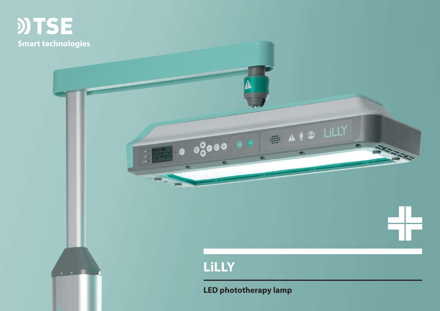

 $\varphi = \theta^{-1/2}$ 

# **LiLLY**

40 4 00 01

**LED phototherapy lamp**

A I O LILLY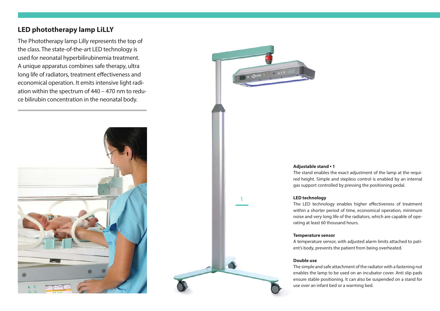# **LED phototherapy lamp LiLLY**

The Phototherapy lamp Lilly represents the top of the class. The state-of-the-art LED technology is used for neonatal hyperbilirubinemia treatment. A unique apparatus combines safe therapy, ultra long life of radiators, treatment effectiveness and economical operation. It emits intensive light radiation within the spectrum of 440 – 470 nm to reduce bilirubin concentration in the neonatal body.





1

# **Adjustable stand ▪ 1**

The stand enables the exact adjustment of the lamp at the required height. Simple and stepless control is enabled by an internal gas support controlled by pressing the positioning pedal.

# **LED technology**

The LED technology enables higher effectiveness of treatment within a shorter period of time, economical operation, minimum noise and very long life of the radiators, which are capable of operating at least 60 thousand hours.

#### **Temperature sensor**

A temperature sensor, with adjusted alarm limits attached to patient's body, prevents the patient from being overheated.

#### **Double use**

The simple and safe attachment of the radiator with a fastening nut enables the lamp to be used on an incubator cover. Anti slip pads ensure stable positioning. It can also be suspended on a stand for use over an infant bed or a warming bed.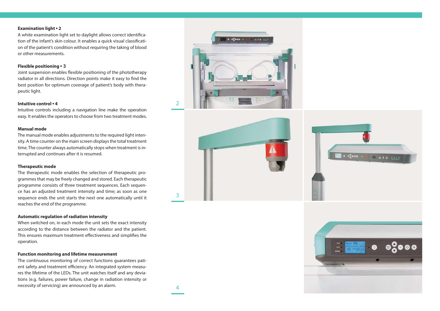#### **Examination light ▪ 2**

A white examination light set to daylight allows correct identification of the infant's skin colour. It enables a quick visual classification of the patient's condition without requiring the taking of blood or other measurements.

# **Flexible positioning ▪ 3**

Joint suspension enables flexible positioning of the phototherapy radiator in all directions. Direction points make it easy to find the best position for optimum coverage of patient's body with therapeutic light.

#### **Intuitive control ▪ 4**

Intuitive controls including a navigation line make the operation easy. It enables the operators to choose from two treatment modes.

## **Manual mode**

The manual mode enables adjustments to the required light intensity. A time counter on the main screen displays the total treatment time. The counter always automatically stops when treatment is interrupted and continues after it is resumed.

#### **Therapeutic mode**

The therapeutic mode enables the selection of therapeutic programmes that may be freely changed and stored. Each therapeutic programme consists of three treatment sequences. Each sequence has an adjusted treatment intensity and time; as soon as one sequence ends the unit starts the next one automatically until it reaches the end of the programme.

### **Automatic regulation of radiation intensity**

When switched on, in each mode the unit sets the exact intensity according to the distance between the radiator and the patient. This ensures maximum treatment effectiveness and simplifies the operation.

#### **Function monitoring and lifetime measurement**

The continuous monitoring of correct functions guarantees patient safety and treatment efficiency. An integrated system measures the lifetime of the LEDs. The unit watches itself and any deviations (e.g. failures, power failure, change in radiation intensity or necessity of servicing) are announced by an alarm.